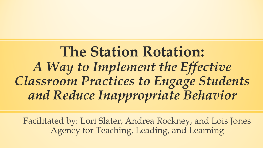**The Station Rotation:**  *A Way to Implement the Effective Classroom Practices to Engage Students and Reduce Inappropriate Behavior*

Facilitated by: Lori Slater, Andrea Rockney, and Lois Jones Agency for Teaching, Leading, and Learning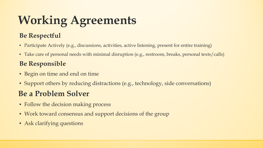# **Working Agreements**

#### **Be Respectful**

- Participate Actively (e.g., discussions, activities, active listening, present for entire training)
- Take care of personal needs with minimal disruption (e.g., restroom, breaks, personal texts/calls)

#### **Be Responsible**

- Begin on time and end on time
- Support others by reducing distractions (e.g., technology, side conversations)

### **Be a Problem Solver**

- Follow the decision making process
- Work toward consensus and support decisions of the group
- Ask clarifying questions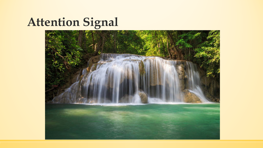# **Attention Signal**

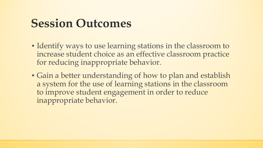## **Session Outcomes**

- Identify ways to use learning stations in the classroom to increase student choice as an effective classroom practice for reducing inappropriate behavior.
- Gain a better understanding of how to plan and establish a system for the use of learning stations in the classroom to improve student engagement in order to reduce inappropriate behavior.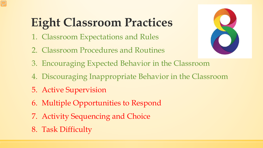## **Eight Classroom Practices**

- 1. Classroom Expectations and Rules
- 2. Classroom Procedures and Routines
- 
- 3. Encouraging Expected Behavior in the Classroom
- 4. Discouraging Inappropriate Behavior in the Classroom
- 5. Active Supervision
- 6. Multiple Opportunities to Respond
- 7. Activity Sequencing and Choice
- 8. Task Difficulty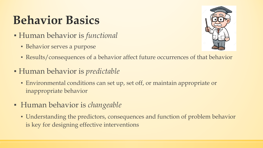## **Behavior Basics**

- Human behavior is *functional*
	- **E** Behavior serves a purpose



- Results/consequences of a behavior affect future occurrences of that behavior
- Human behavior is *predictable*
	- Environmental conditions can set up, set off, or maintain appropriate or inappropriate behavior
- Human behavior is *changeable*
	- Understanding the predictors, consequences and function of problem behavior is key for designing effective interventions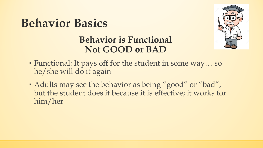



### **Behavior is Functional Not GOOD or BAD**

- Functional: It pays off for the student in some way… so he/she will do it again
- Adults may see the behavior as being "good" or "bad", but the student does it because it is effective; it works for him/her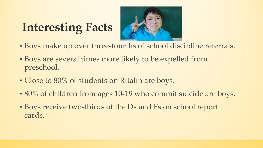## **Interesting Facts**



- Boys make up over three-fourths of school discipline referrals.
- Boys are several times more likely to be expelled from preschool.
- Close to 80% of students on Ritalin are boys.
- 80% of children from ages 10-19 who commit suicide are boys.
- Boys receive two-thirds of the Ds and Fs on school report cards.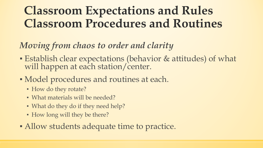## **Classroom Expectations and Rules Classroom Procedures and Routines**

### *Moving from chaos to order and clarity*

- Establish clear expectations (behavior & attitudes) of what will happen at each station/center.
- Model procedures and routines at each.
	- How do they rotate?
	- What materials will be needed?
	- What do they do if they need help?
	- How long will they be there?
- **Allow students adequate time to practice.**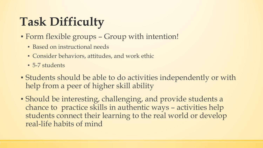# **Task Difficulty**

- Form flexible groups Group with intention!
	- **E** Based on instructional needs
	- Consider behaviors, attitudes, and work ethic
	- **5-7 students**
- Students should be able to do activities independently or with help from a peer of higher skill ability
- Should be interesting, challenging, and provide students a chance to practice skills in authentic ways – activities help students connect their learning to the real world or develop real-life habits of mind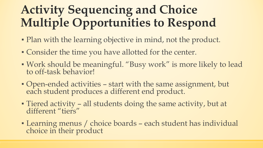## **Activity Sequencing and Choice Multiple Opportunities to Respond**

- Plan with the learning objective in mind, not the product.
- Consider the time you have allotted for the center.
- Work should be meaningful. "Busy work" is more likely to lead to off-task behavior!
- Open-ended activities start with the same assignment, but each student produces a different end product.
- Tiered activity all students doing the same activity, but at different "tiers"
- **Example 2018 Tearning menus / choice boards each student has individual** choice in their product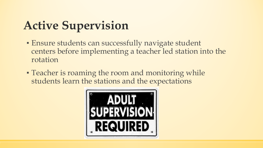## **Active Supervision**

- **Ensure students can successfully navigate student** centers before implementing a teacher led station into the rotation
- **Teacher is roaming the room and monitoring while** students learn the stations and the expectations

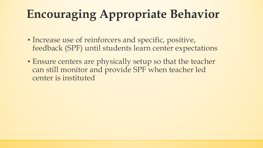## **Encouraging Appropriate Behavior**

- Increase use of reinforcers and specific, positive, feedback (SPF) until students learn center expectations
- Ensure centers are physically setup so that the teacher can still monitor and provide SPF when teacher led center is instituted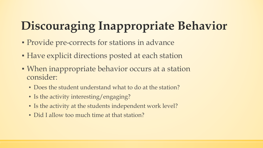# **Discouraging Inappropriate Behavior**

- Provide pre-corrects for stations in advance
- **Have explicit directions posted at each station**
- When inappropriate behavior occurs at a station consider:
	- Does the student understand what to do at the station?
	- Is the activity interesting/engaging?
	- Is the activity at the students independent work level?
	- Did I allow too much time at that station?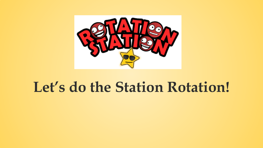

## **Let's do the Station Rotation!**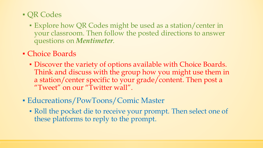- QR Codes
	- Explore how QR Codes might be used as a station/center in your classroom. Then follow the posted directions to answer questions on *Mentimeter*.
- Choice Boards
	- Discover the variety of options available with Choice Boards. Think and discuss with the group how you might use them in a station/center specific to your grade/content. Then post a "Tweet" on our "Twitter wall".
- **Educreations/PowToons/Comic Master** 
	- Roll the pocket die to receive your prompt. Then select one of these platforms to reply to the prompt.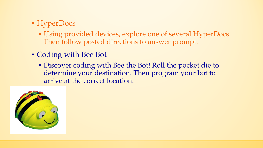### • HyperDocs

- Using provided devices, explore one of several HyperDocs. Then follow posted directions to answer prompt.
- Coding with Bee Bot
	- Discover coding with Bee the Bot! Roll the pocket die to determine your destination. Then program your bot to arrive at the correct location.

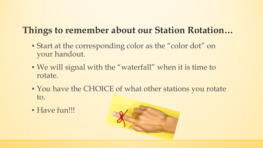## **Things to remember about our Station Rotation…**

- Start at the corresponding color as the "color dot" on your handout.
- We will signal with the "waterfall" when it is time to rotate.
- You have the CHOICE of what other stations you rotate to.
- Have fun!!!